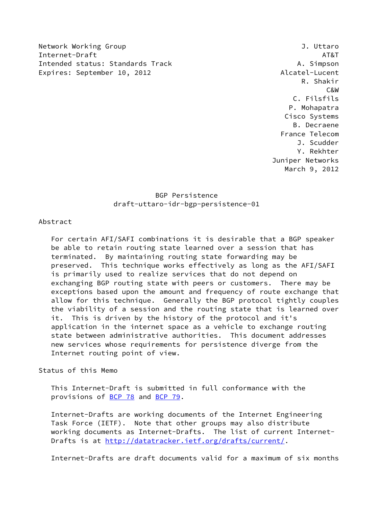Network Working Group **J. Uttaro** Internet-Draft AT&T Intended status: Standards Track A. Simpson Expires: September 10, 2012 and the contract of the Alcatel-Lucent

 R. Shakir C&W C. Filsfils P. Mohapatra Cisco Systems B. Decraene France Telecom J. Scudder Y. Rekhter Juniper Networks March 9, 2012

> BGP Persistence draft-uttaro-idr-bgp-persistence-01

#### Abstract

 For certain AFI/SAFI combinations it is desirable that a BGP speaker be able to retain routing state learned over a session that has terminated. By maintaining routing state forwarding may be preserved. This technique works effectively as long as the AFI/SAFI is primarily used to realize services that do not depend on exchanging BGP routing state with peers or customers. There may be exceptions based upon the amount and frequency of route exchange that allow for this technique. Generally the BGP protocol tightly couples the viability of a session and the routing state that is learned over it. This is driven by the history of the protocol and it's application in the internet space as a vehicle to exchange routing state between administrative authorities. This document addresses new services whose requirements for persistence diverge from the Internet routing point of view.

# Status of this Memo

 This Internet-Draft is submitted in full conformance with the provisions of [BCP 78](https://datatracker.ietf.org/doc/pdf/bcp78) and [BCP 79](https://datatracker.ietf.org/doc/pdf/bcp79).

 Internet-Drafts are working documents of the Internet Engineering Task Force (IETF). Note that other groups may also distribute working documents as Internet-Drafts. The list of current Internet- Drafts is at<http://datatracker.ietf.org/drafts/current/>.

Internet-Drafts are draft documents valid for a maximum of six months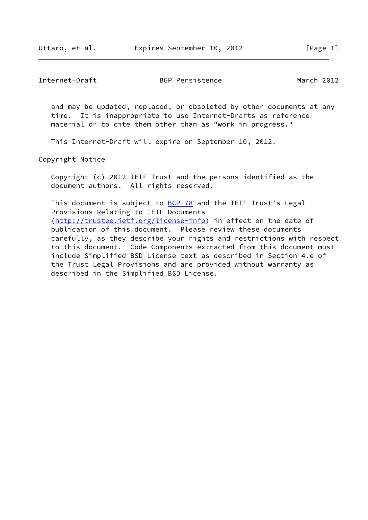and may be updated, replaced, or obsoleted by other documents at any time. It is inappropriate to use Internet-Drafts as reference material or to cite them other than as "work in progress."

This Internet-Draft will expire on September 10, 2012.

Copyright Notice

 Copyright (c) 2012 IETF Trust and the persons identified as the document authors. All rights reserved.

This document is subject to **[BCP 78](https://datatracker.ietf.org/doc/pdf/bcp78)** and the IETF Trust's Legal Provisions Relating to IETF Documents [\(http://trustee.ietf.org/license-info](http://trustee.ietf.org/license-info)) in effect on the date of publication of this document. Please review these documents carefully, as they describe your rights and restrictions with respect to this document. Code Components extracted from this document must include Simplified BSD License text as described in Section 4.e of the Trust Legal Provisions and are provided without warranty as described in the Simplified BSD License.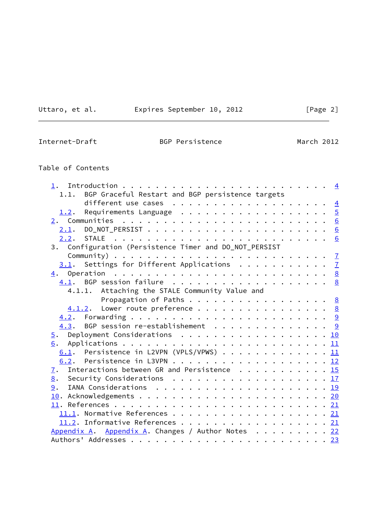<u> 1980 - Johann Barbara, martx</u>

Uttaro, et al. Expires September 10, 2012 [Page 2]

L.

Internet-Draft BGP Persistence March 2012

# Table of Contents

| BGP Graceful Restart and BGP persistence targets<br>1.1.    |  |
|-------------------------------------------------------------|--|
|                                                             |  |
| 1.2. Requirements Language 5                                |  |
|                                                             |  |
|                                                             |  |
|                                                             |  |
| 3. Configuration (Persistence Timer and DO_NOT_PERSIST      |  |
|                                                             |  |
| $\underline{3.1}$ . Settings for Different Applications 7   |  |
|                                                             |  |
| 4.1. BGP session failure 8                                  |  |
| 4.1.1. Attaching the STALE Community Value and              |  |
| Propagation of Paths 8                                      |  |
| $\underline{4.1.2}$ . Lower route preference 8              |  |
|                                                             |  |
| $\underline{4.3}$ . BGP session re-establishement 9         |  |
| 5. Deployment Considerations 10                             |  |
|                                                             |  |
| 6.1. Persistence in L2VPN (VPLS/VPWS) 11                    |  |
|                                                             |  |
| $\overline{1}$ . Interactions between GR and Persistence 15 |  |
| 8. Security Considerations 17                               |  |
| 9.                                                          |  |
|                                                             |  |
|                                                             |  |
| 11.1. Normative References 21                               |  |
| 11.2. Informative References 21                             |  |
| Appendix A. Appendix A. Changes / Author Notes 22           |  |
|                                                             |  |
|                                                             |  |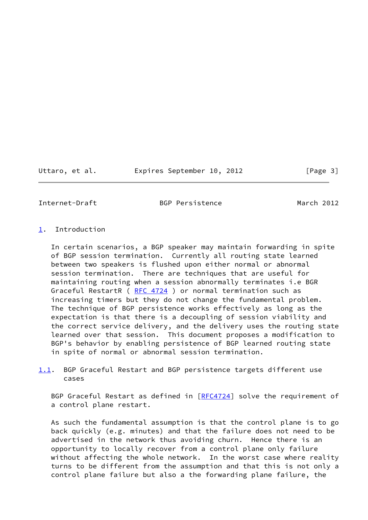Uttaro, et al. Expires September 10, 2012 [Page 3]

<span id="page-3-1"></span>Internet-Draft BGP Persistence March 2012

## <span id="page-3-0"></span>[1](#page-3-0). Introduction

 In certain scenarios, a BGP speaker may maintain forwarding in spite of BGP session termination. Currently all routing state learned between two speakers is flushed upon either normal or abnormal session termination. There are techniques that are useful for maintaining routing when a session abnormally terminates i.e BGR Graceful RestartR (RFC 4724) or normal termination such as increasing timers but they do not change the fundamental problem. The technique of BGP persistence works effectively as long as the expectation is that there is a decoupling of session viability and the correct service delivery, and the delivery uses the routing state learned over that session. This document proposes a modification to BGP's behavior by enabling persistence of BGP learned routing state in spite of normal or abnormal session termination.

# <span id="page-3-2"></span>[1.1](#page-3-2). BGP Graceful Restart and BGP persistence targets different use cases

BGP Graceful Restart as defined in [[RFC4724\]](https://datatracker.ietf.org/doc/pdf/rfc4724) solve the requirement of a control plane restart.

 As such the fundamental assumption is that the control plane is to go back quickly (e.g. minutes) and that the failure does not need to be advertised in the network thus avoiding churn. Hence there is an opportunity to locally recover from a control plane only failure without affecting the whole network. In the worst case where reality turns to be different from the assumption and that this is not only a control plane failure but also a the forwarding plane failure, the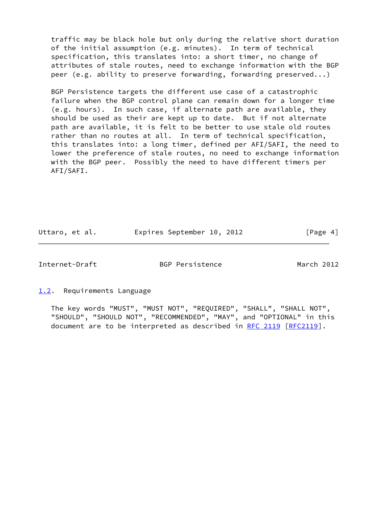traffic may be black hole but only during the relative short duration of the initial assumption (e.g. minutes). In term of technical specification, this translates into: a short timer, no change of attributes of stale routes, need to exchange information with the BGP peer (e.g. ability to preserve forwarding, forwarding preserved...)

 BGP Persistence targets the different use case of a catastrophic failure when the BGP control plane can remain down for a longer time (e.g. hours). In such case, if alternate path are available, they should be used as their are kept up to date. But if not alternate path are available, it is felt to be better to use stale old routes rather than no routes at all. In term of technical specification, this translates into: a long timer, defined per AFI/SAFI, the need to lower the preference of stale routes, no need to exchange information with the BGP peer. Possibly the need to have different timers per AFI/SAFI.

Uttaro, et al. Expires September 10, 2012 [Page 4]

<span id="page-4-1"></span>

Internet-Draft BGP Persistence March 2012

<span id="page-4-0"></span>[1.2](#page-4-0). Requirements Language

 The key words "MUST", "MUST NOT", "REQUIRED", "SHALL", "SHALL NOT", "SHOULD", "SHOULD NOT", "RECOMMENDED", "MAY", and "OPTIONAL" in this document are to be interpreted as described in [RFC 2119 \[RFC2119](https://datatracker.ietf.org/doc/pdf/rfc2119)].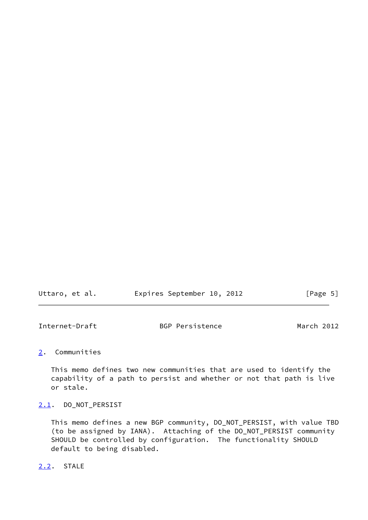| Uttaro, et al. |  | Expires September 10, 2012 |  |  | [Page 5] |  |  |
|----------------|--|----------------------------|--|--|----------|--|--|
|----------------|--|----------------------------|--|--|----------|--|--|

<span id="page-5-1"></span>

| Internet-Draft | BGP Persistence | March 2012 |  |
|----------------|-----------------|------------|--|
|                |                 |            |  |

# <span id="page-5-0"></span>[2](#page-5-0). Communities

 This memo defines two new communities that are used to identify the capability of a path to persist and whether or not that path is live or stale.

# <span id="page-5-2"></span>[2.1](#page-5-2). DO\_NOT\_PERSIST

 This memo defines a new BGP community, DO\_NOT\_PERSIST, with value TBD (to be assigned by IANA). Attaching of the DO\_NOT\_PERSIST community SHOULD be controlled by configuration. The functionality SHOULD default to being disabled.

### <span id="page-5-3"></span>[2.2](#page-5-3). STALE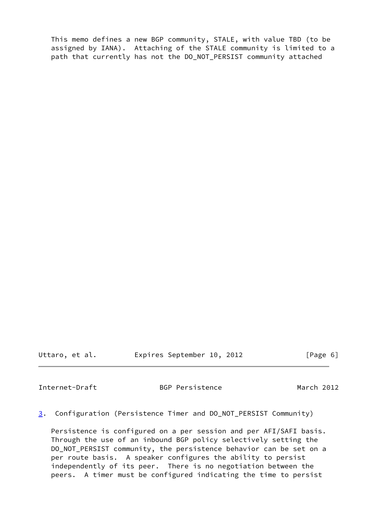This memo defines a new BGP community, STALE, with value TBD (to be assigned by IANA). Attaching of the STALE community is limited to a path that currently has not the DO\_NOT\_PERSIST community attached

Uttaro, et al. Expires September 10, 2012 [Page 6]

<span id="page-6-0"></span>Internet-Draft BGP Persistence March 2012

<span id="page-6-1"></span>[3](#page-6-1). Configuration (Persistence Timer and DO\_NOT\_PERSIST Community)

 Persistence is configured on a per session and per AFI/SAFI basis. Through the use of an inbound BGP policy selectively setting the DO\_NOT\_PERSIST community, the persistence behavior can be set on a per route basis. A speaker configures the ability to persist independently of its peer. There is no negotiation between the peers. A timer must be configured indicating the time to persist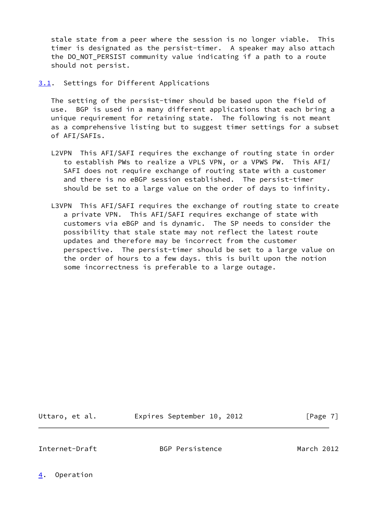stale state from a peer where the session is no longer viable. This timer is designated as the persist-timer. A speaker may also attach the DO NOT PERSIST community value indicating if a path to a route should not persist.

<span id="page-7-0"></span>[3.1](#page-7-0). Settings for Different Applications

 The setting of the persist-timer should be based upon the field of use. BGP is used in a many different applications that each bring a unique requirement for retaining state. The following is not meant as a comprehensive listing but to suggest timer settings for a subset of AFI/SAFIs.

- L2VPN This AFI/SAFI requires the exchange of routing state in order to establish PWs to realize a VPLS VPN, or a VPWS PW. This AFI/ SAFI does not require exchange of routing state with a customer and there is no eBGP session established. The persist-timer should be set to a large value on the order of days to infinity.
- L3VPN This AFI/SAFI requires the exchange of routing state to create a private VPN. This AFI/SAFI requires exchange of state with customers via eBGP and is dynamic. The SP needs to consider the possibility that stale state may not reflect the latest route updates and therefore may be incorrect from the customer perspective. The persist-timer should be set to a large value on the order of hours to a few days. this is built upon the notion some incorrectness is preferable to a large outage.

Uttaro, et al. Expires September 10, 2012 [Page 7]

<span id="page-7-2"></span>

Internet-Draft BGP Persistence March 2012

<span id="page-7-1"></span>[4](#page-7-1). Operation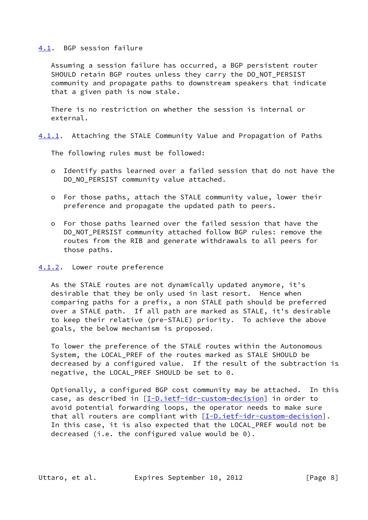#### <span id="page-8-0"></span>[4.1](#page-8-0). BGP session failure

 Assuming a session failure has occurred, a BGP persistent router SHOULD retain BGP routes unless they carry the DO\_NOT\_PERSIST community and propagate paths to downstream speakers that indicate that a given path is now stale.

 There is no restriction on whether the session is internal or external.

<span id="page-8-2"></span>[4.1.1](#page-8-2). Attaching the STALE Community Value and Propagation of Paths

The following rules must be followed:

- o Identify paths learned over a failed session that do not have the DO\_NO\_PERSIST community value attached.
- o For those paths, attach the STALE community value, lower their preference and propagate the updated path to peers.
- o For those paths learned over the failed session that have the DO\_NOT\_PERSIST community attached follow BGP rules: remove the routes from the RIB and generate withdrawals to all peers for those paths.

#### <span id="page-8-1"></span>[4.1.2](#page-8-1). Lower route preference

 As the STALE routes are not dynamically updated anymore, it's desirable that they be only used in last resort. Hence when comparing paths for a prefix, a non STALE path should be preferred over a STALE path. If all path are marked as STALE, it's desirable to keep their relative (pre-STALE) priority. To achieve the above goals, the below mechanism is proposed.

 To lower the preference of the STALE routes within the Autonomous System, the LOCAL\_PREF of the routes marked as STALE SHOULD be decreased by a configured value. If the result of the subtraction is negative, the LOCAL\_PREF SHOULD be set to 0.

 Optionally, a configured BGP cost community may be attached. In this case, as described in [[I-D.ietf-idr-custom-decision\]](#page-22-3) in order to avoid potential forwarding loops, the operator needs to make sure that all routers are compliant with  $[I-D.iett-idr-custom-decision]$ . In this case, it is also expected that the LOCAL\_PREF would not be decreased (i.e. the configured value would be 0).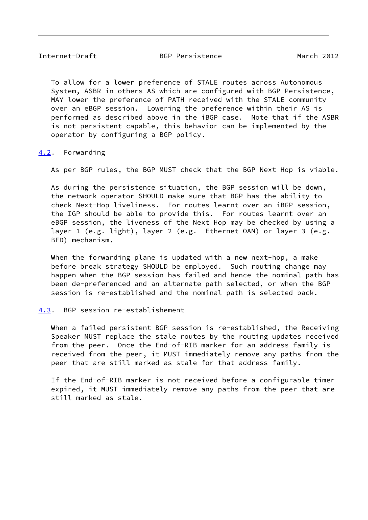<span id="page-9-1"></span> To allow for a lower preference of STALE routes across Autonomous System, ASBR in others AS which are configured with BGP Persistence, MAY lower the preference of PATH received with the STALE community over an eBGP session. Lowering the preference within their AS is performed as described above in the iBGP case. Note that if the ASBR is not persistent capable, this behavior can be implemented by the operator by configuring a BGP policy.

### <span id="page-9-0"></span>[4.2](#page-9-0). Forwarding

As per BGP rules, the BGP MUST check that the BGP Next Hop is viable.

 As during the persistence situation, the BGP session will be down, the network operator SHOULD make sure that BGP has the ability to check Next-Hop liveliness. For routes learnt over an iBGP session, the IGP should be able to provide this. For routes learnt over an eBGP session, the liveness of the Next Hop may be checked by using a layer 1 (e.g. light), layer 2 (e.g. Ethernet OAM) or layer 3 (e.g. BFD) mechanism.

 When the forwarding plane is updated with a new next-hop, a make before break strategy SHOULD be employed. Such routing change may happen when the BGP session has failed and hence the nominal path has been de-preferenced and an alternate path selected, or when the BGP session is re-established and the nominal path is selected back.

#### <span id="page-9-2"></span>[4.3](#page-9-2). BGP session re-establishement

 When a failed persistent BGP session is re-established, the Receiving Speaker MUST replace the stale routes by the routing updates received from the peer. Once the End-of-RIB marker for an address family is received from the peer, it MUST immediately remove any paths from the peer that are still marked as stale for that address family.

 If the End-of-RIB marker is not received before a configurable timer expired, it MUST immediately remove any paths from the peer that are still marked as stale.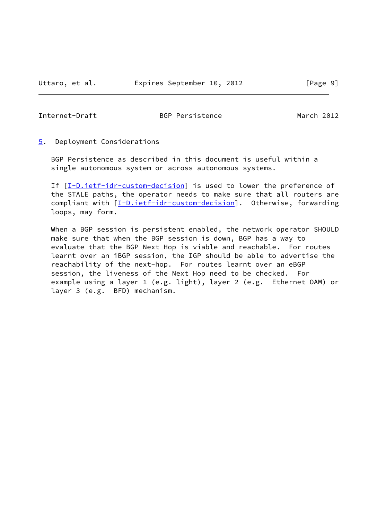<span id="page-10-1"></span><span id="page-10-0"></span>[5](#page-10-0). Deployment Considerations

 BGP Persistence as described in this document is useful within a single autonomous system or across autonomous systems.

If [[I-D.ietf-idr-custom-decision\]](#page-22-3) is used to lower the preference of the STALE paths, the operator needs to make sure that all routers are compliant with [\[I-D.ietf-idr-custom-decision](#page-22-3)]. Otherwise, forwarding loops, may form.

 When a BGP session is persistent enabled, the network operator SHOULD make sure that when the BGP session is down, BGP has a way to evaluate that the BGP Next Hop is viable and reachable. For routes learnt over an iBGP session, the IGP should be able to advertise the reachability of the next-hop. For routes learnt over an eBGP session, the liveness of the Next Hop need to be checked. For example using a layer 1 (e.g. light), layer 2 (e.g. Ethernet OAM) or layer 3 (e.g. BFD) mechanism.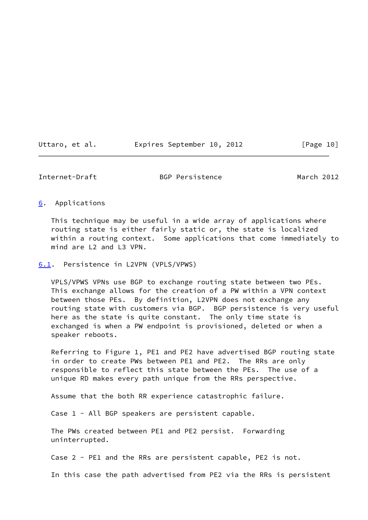| Uttaro, et al. |  | Expires September 10, 2012 |  |  | [Page 10] |
|----------------|--|----------------------------|--|--|-----------|
|----------------|--|----------------------------|--|--|-----------|

<span id="page-11-1"></span>

### <span id="page-11-0"></span>[6](#page-11-0). Applications

 This technique may be useful in a wide array of applications where routing state is either fairly static or, the state is localized within a routing context. Some applications that come immediately to mind are L2 and L3 VPN.

<span id="page-11-2"></span>[6.1](#page-11-2). Persistence in L2VPN (VPLS/VPWS)

 VPLS/VPWS VPNs use BGP to exchange routing state between two PEs. This exchange allows for the creation of a PW within a VPN context between those PEs. By definition, L2VPN does not exchange any routing state with customers via BGP. BGP persistence is very useful here as the state is quite constant. The only time state is exchanged is when a PW endpoint is provisioned, deleted or when a speaker reboots.

 Referring to Figure 1, PE1 and PE2 have advertised BGP routing state in order to create PWs between PE1 and PE2. The RRs are only responsible to reflect this state between the PEs. The use of a unique RD makes every path unique from the RRs perspective.

Assume that the both RR experience catastrophic failure.

Case 1 - All BGP speakers are persistent capable.

 The PWs created between PE1 and PE2 persist. Forwarding uninterrupted.

Case 2 - PE1 and the RRs are persistent capable, PE2 is not.

In this case the path advertised from PE2 via the RRs is persistent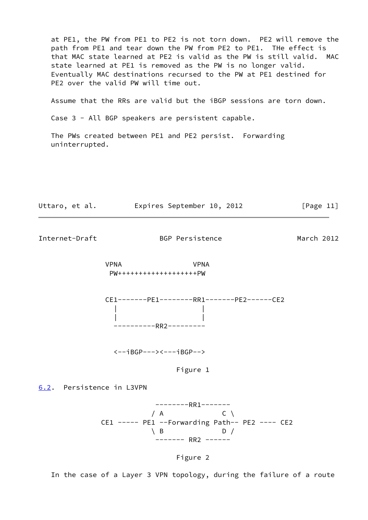at PE1, the PW from PE1 to PE2 is not torn down. PE2 will remove the path from PE1 and tear down the PW from PE2 to PE1. THe effect is that MAC state learned at PE2 is valid as the PW is still valid. MAC state learned at PE1 is removed as the PW is no longer valid. Eventually MAC destinations recursed to the PW at PE1 destined for PE2 over the valid PW will time out.

Assume that the RRs are valid but the iBGP sessions are torn down.

Case 3 - All BGP speakers are persistent capable.

 The PWs created between PE1 and PE2 persist. Forwarding uninterrupted.



<span id="page-12-1"></span>Internet-Draft BGP Persistence March 2012

 VPNA VPNA PW+++++++++++++++++++PW

 CE1-------PE1--------RR1-------PE2------CE2 | | | | ----------RR2---------

<--iBGP---><---iBGP-->

Figure 1

<span id="page-12-0"></span>[6.2](#page-12-0). Persistence in L3VPN

 --------RR1-------  $/ A$  C \ CE1 ----- PE1 --Forwarding Path-- PE2 ---- CE2  $\setminus$  B D / ------- RR2 ------



In the case of a Layer 3 VPN topology, during the failure of a route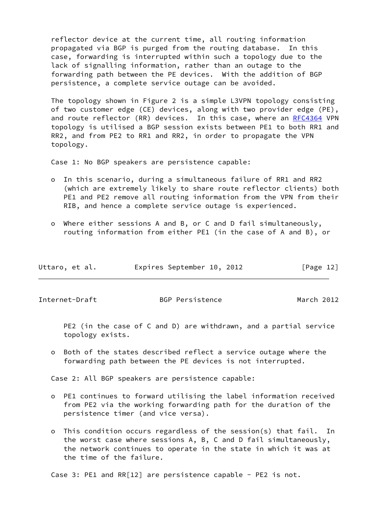reflector device at the current time, all routing information propagated via BGP is purged from the routing database. In this case, forwarding is interrupted within such a topology due to the lack of signalling information, rather than an outage to the forwarding path between the PE devices. With the addition of BGP persistence, a complete service outage can be avoided.

 The topology shown in Figure 2 is a simple L3VPN topology consisting of two customer edge (CE) devices, along with two provider edge (PE), and route reflector (RR) devices. In this case, where an [RFC4364](https://datatracker.ietf.org/doc/pdf/rfc4364) VPN topology is utilised a BGP session exists between PE1 to both RR1 and RR2, and from PE2 to RR1 and RR2, in order to propagate the VPN topology.

Case 1: No BGP speakers are persistence capable:

- o In this scenario, during a simultaneous failure of RR1 and RR2 (which are extremely likely to share route reflector clients) both PE1 and PE2 remove all routing information from the VPN from their RIB, and hence a complete service outage is experienced.
- o Where either sessions A and B, or C and D fail simultaneously, routing information from either PE1 (in the case of A and B), or

| Uttaro, et al. | Expires September 10, 2012 | [Page 12] |
|----------------|----------------------------|-----------|
|----------------|----------------------------|-----------|

Internet-Draft BGP Persistence March 2012

 PE2 (in the case of C and D) are withdrawn, and a partial service topology exists.

 o Both of the states described reflect a service outage where the forwarding path between the PE devices is not interrupted.

Case 2: All BGP speakers are persistence capable:

- o PE1 continues to forward utilising the label information received from PE2 via the working forwarding path for the duration of the persistence timer (and vice versa).
- o This condition occurs regardless of the session(s) that fail. In the worst case where sessions A, B, C and D fail simultaneously, the network continues to operate in the state in which it was at the time of the failure.

Case 3: PE1 and RR[12] are persistence capable - PE2 is not.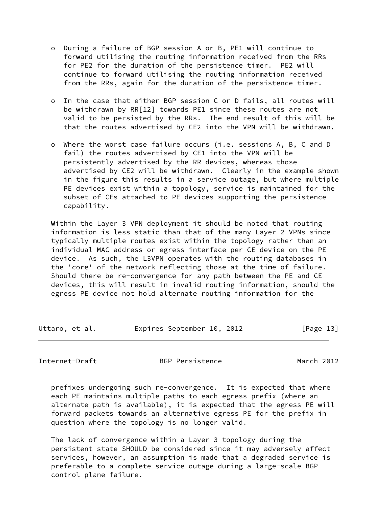- o During a failure of BGP session A or B, PE1 will continue to forward utilising the routing information received from the RRs for PE2 for the duration of the persistence timer. PE2 will continue to forward utilising the routing information received from the RRs, again for the duration of the persistence timer.
- o In the case that either BGP session C or D fails, all routes will be withdrawn by RR[12] towards PE1 since these routes are not valid to be persisted by the RRs. The end result of this will be that the routes advertised by CE2 into the VPN will be withdrawn.
- o Where the worst case failure occurs (i.e. sessions A, B, C and D fail) the routes advertised by CE1 into the VPN will be persistently advertised by the RR devices, whereas those advertised by CE2 will be withdrawn. Clearly in the example shown in the figure this results in a service outage, but where multiple PE devices exist within a topology, service is maintained for the subset of CEs attached to PE devices supporting the persistence capability.

 Within the Layer 3 VPN deployment it should be noted that routing information is less static than that of the many Layer 2 VPNs since typically multiple routes exist within the topology rather than an individual MAC address or egress interface per CE device on the PE device. As such, the L3VPN operates with the routing databases in the 'core' of the network reflecting those at the time of failure. Should there be re-convergence for any path between the PE and CE devices, this will result in invalid routing information, should the egress PE device not hold alternate routing information for the

| Uttaro, et al. | Expires September 10, 2012 |  | [Page 13] |  |
|----------------|----------------------------|--|-----------|--|
|                |                            |  |           |  |

Internet-Draft BGP Persistence March 2012

 prefixes undergoing such re-convergence. It is expected that where each PE maintains multiple paths to each egress prefix (where an alternate path is available), it is expected that the egress PE will forward packets towards an alternative egress PE for the prefix in question where the topology is no longer valid.

 The lack of convergence within a Layer 3 topology during the persistent state SHOULD be considered since it may adversely affect services, however, an assumption is made that a degraded service is preferable to a complete service outage during a large-scale BGP control plane failure.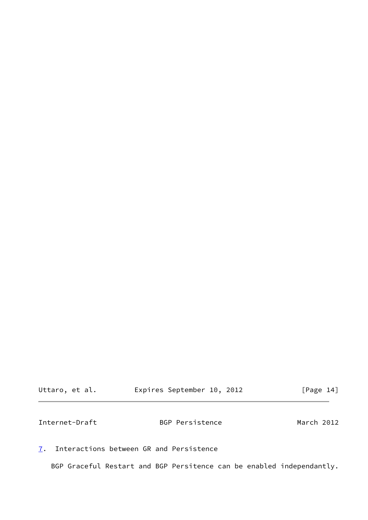<span id="page-15-1"></span>

| Uttaro, et al. | Expires September 10, 2012 |  | [Page 14] |  |
|----------------|----------------------------|--|-----------|--|
|                |                            |  |           |  |

<span id="page-15-0"></span>[7](#page-15-0). Interactions between GR and Persistence

BGP Graceful Restart and BGP Persitence can be enabled independantly.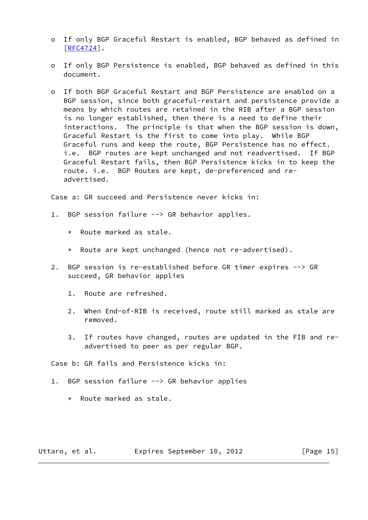- o If only BGP Graceful Restart is enabled, BGP behaved as defined in [[RFC4724\]](https://datatracker.ietf.org/doc/pdf/rfc4724).
- o If only BGP Persistence is enabled, BGP behaved as defined in this document.
- o If both BGP Graceful Restart and BGP Persistence are enabled on a BGP session, since both graceful-restart and persistence provide a means by which routes are retained in the RIB after a BGP session is no longer established, then there is a need to define their interactions. The principle is that when the BGP session is down, Graceful Restart is the first to come into play. While BGP Graceful runs and keep the route, BGP Persistence has no effect. i.e. BGP routes are kept unchanged and not readvertised. If BGP Graceful Restart fails, then BGP Persistence kicks in to keep the route. i.e. BGP Routes are kept, de-preferenced and re advertised.

Case a: GR succeed and Persistence never kicks in:

- 1. BGP session failure --> GR behavior applies.
	- \* Route marked as stale.
	- \* Route are kept unchanged (hence not re-advertised).
- 2. BGP session is re-established before GR timer expires --> GR succeed, GR behavior applies
	- 1. Route are refreshed.
	- 2. When End-of-RIB is received, route still marked as stale are removed.
	- 3. If routes have changed, routes are updated in the FIB and re advertised to peer as per regular BGP.

Case b: GR fails and Persistence kicks in:

- 1. BGP session failure --> GR behavior applies
	- \* Route marked as stale.

Uttaro, et al. Expires September 10, 2012 [Page 15]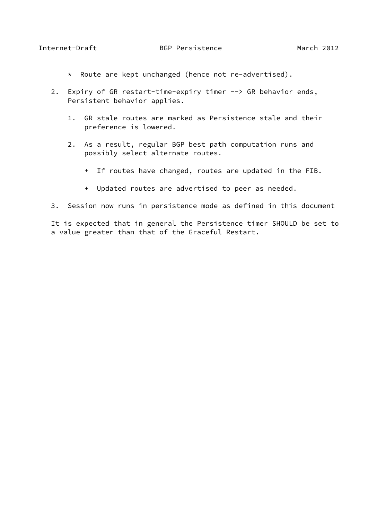- \* Route are kept unchanged (hence not re-advertised).
- 2. Expiry of GR restart-time-expiry timer --> GR behavior ends, Persistent behavior applies.
	- 1. GR stale routes are marked as Persistence stale and their preference is lowered.
	- 2. As a result, regular BGP best path computation runs and possibly select alternate routes.
		- + If routes have changed, routes are updated in the FIB.
		- + Updated routes are advertised to peer as needed.
- 3. Session now runs in persistence mode as defined in this document

 It is expected that in general the Persistence timer SHOULD be set to a value greater than that of the Graceful Restart.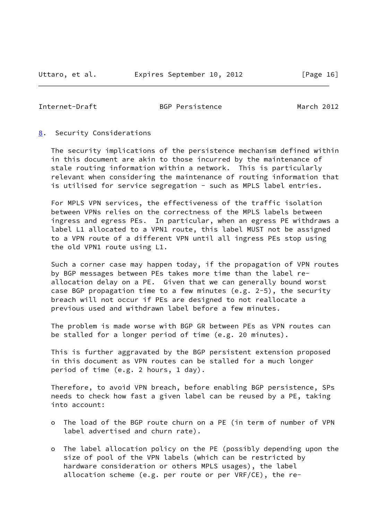<span id="page-18-1"></span>

#### <span id="page-18-0"></span>[8](#page-18-0). Security Considerations

 The security implications of the persistence mechanism defined within in this document are akin to those incurred by the maintenance of stale routing information within a network. This is particularly relevant when considering the maintenance of routing information that is utilised for service segregation - such as MPLS label entries.

 For MPLS VPN services, the effectiveness of the traffic isolation between VPNs relies on the correctness of the MPLS labels between ingress and egress PEs. In particular, when an egress PE withdraws a label L1 allocated to a VPN1 route, this label MUST not be assigned to a VPN route of a different VPN until all ingress PEs stop using the old VPN1 route using L1.

 Such a corner case may happen today, if the propagation of VPN routes by BGP messages between PEs takes more time than the label re allocation delay on a PE. Given that we can generally bound worst case BGP propagation time to a few minutes (e.g. 2-5), the security breach will not occur if PEs are designed to not reallocate a previous used and withdrawn label before a few minutes.

 The problem is made worse with BGP GR between PEs as VPN routes can be stalled for a longer period of time (e.g. 20 minutes).

 This is further aggravated by the BGP persistent extension proposed in this document as VPN routes can be stalled for a much longer period of time (e.g. 2 hours, 1 day).

 Therefore, to avoid VPN breach, before enabling BGP persistence, SPs needs to check how fast a given label can be reused by a PE, taking into account:

- o The load of the BGP route churn on a PE (in term of number of VPN label advertised and churn rate).
- o The label allocation policy on the PE (possibly depending upon the size of pool of the VPN labels (which can be restricted by hardware consideration or others MPLS usages), the label allocation scheme (e.g. per route or per VRF/CE), the re-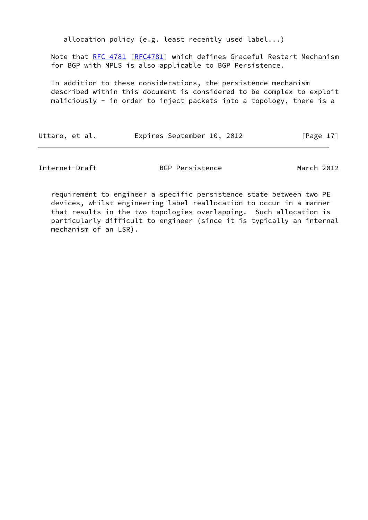allocation policy (e.g. least recently used label...)

 Note that [RFC 4781](https://datatracker.ietf.org/doc/pdf/rfc4781) [[RFC4781\]](https://datatracker.ietf.org/doc/pdf/rfc4781) which defines Graceful Restart Mechanism for BGP with MPLS is also applicable to BGP Persistence.

 In addition to these considerations, the persistence mechanism described within this document is considered to be complex to exploit maliciously - in order to inject packets into a topology, there is a

Uttaro, et al. Expires September 10, 2012 [Page 17]

Internet-Draft BGP Persistence March 2012

 requirement to engineer a specific persistence state between two PE devices, whilst engineering label reallocation to occur in a manner that results in the two topologies overlapping. Such allocation is particularly difficult to engineer (since it is typically an internal mechanism of an LSR).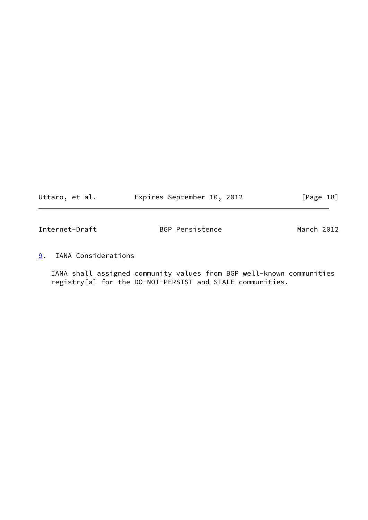| Uttaro, et al. | Expires September 10, 2012 |  | [Page 18] |
|----------------|----------------------------|--|-----------|
|----------------|----------------------------|--|-----------|

<span id="page-20-1"></span>

| Internet-Draft | BGP Persistence | March 2012 |  |
|----------------|-----------------|------------|--|
|                |                 |            |  |

<span id="page-20-0"></span>[9](#page-20-0). IANA Considerations

 IANA shall assigned community values from BGP well-known communities registry[a] for the DO-NOT-PERSIST and STALE communities.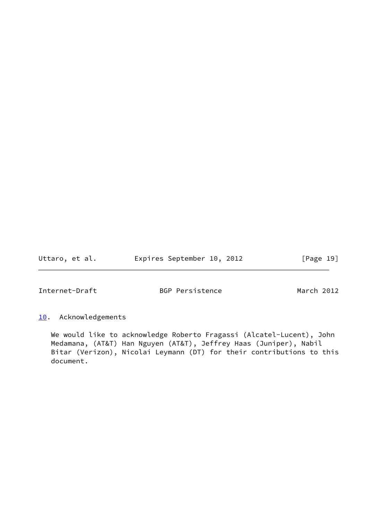Uttaro, et al. **Expires September 10, 2012** [Page 19]

<span id="page-21-1"></span>Internet-Draft BGP Persistence March 2012

<span id="page-21-0"></span>[10.](#page-21-0) Acknowledgements

 We would like to acknowledge Roberto Fragassi (Alcatel-Lucent), John Medamana, (AT&T) Han Nguyen (AT&T), Jeffrey Haas (Juniper), Nabil Bitar (Verizon), Nicolai Leymann (DT) for their contributions to this document.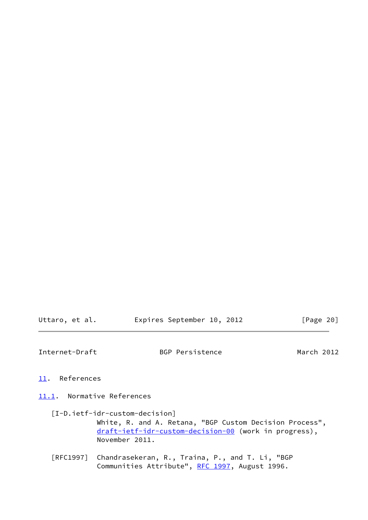<span id="page-22-1"></span>

| Uttaro, et al. | Expires September 10, 2012 |  | [Page 20] |  |
|----------------|----------------------------|--|-----------|--|
|                |                            |  |           |  |

<span id="page-22-0"></span>[11.](#page-22-0) References

<span id="page-22-2"></span>[11.1](#page-22-2). Normative References

- <span id="page-22-3"></span> [I-D.ietf-idr-custom-decision] White, R. and A. Retana, "BGP Custom Decision Process", [draft-ietf-idr-custom-decision-00](https://datatracker.ietf.org/doc/pdf/draft-ietf-idr-custom-decision-00) (work in progress), November 2011.
- [RFC1997] Chandrasekeran, R., Traina, P., and T. Li, "BGP Communities Attribute", [RFC 1997,](https://datatracker.ietf.org/doc/pdf/rfc1997) August 1996.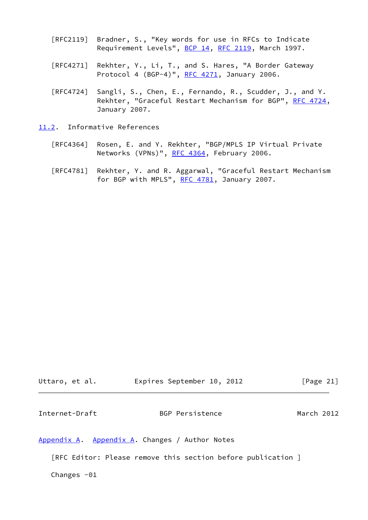- [RFC2119] Bradner, S., "Key words for use in RFCs to Indicate Requirement Levels", [BCP 14](https://datatracker.ietf.org/doc/pdf/bcp14), [RFC 2119](https://datatracker.ietf.org/doc/pdf/rfc2119), March 1997.
- [RFC4271] Rekhter, Y., Li, T., and S. Hares, "A Border Gateway Protocol 4 (BGP-4)", [RFC 4271](https://datatracker.ietf.org/doc/pdf/rfc4271), January 2006.
- [RFC4724] Sangli, S., Chen, E., Fernando, R., Scudder, J., and Y. Rekhter, "Graceful Restart Mechanism for BGP", [RFC 4724](https://datatracker.ietf.org/doc/pdf/rfc4724), January 2007.
- <span id="page-23-0"></span>[11.2](#page-23-0). Informative References
	- [RFC4364] Rosen, E. and Y. Rekhter, "BGP/MPLS IP Virtual Private Networks (VPNs)", [RFC 4364](https://datatracker.ietf.org/doc/pdf/rfc4364), February 2006.
	- [RFC4781] Rekhter, Y. and R. Aggarwal, "Graceful Restart Mechanism for BGP with MPLS", [RFC 4781,](https://datatracker.ietf.org/doc/pdf/rfc4781) January 2007.

<span id="page-23-2"></span>

| Uttaro, et al. |  | Expires September 10, 2012 |  |  | [Page 21] |  |
|----------------|--|----------------------------|--|--|-----------|--|
|----------------|--|----------------------------|--|--|-----------|--|

<span id="page-23-1"></span>[Appendix A.](#page-23-1) [Appendix A.](#page-23-1) Changes / Author Notes

[RFC Editor: Please remove this section before publication ]

Changes  $-01$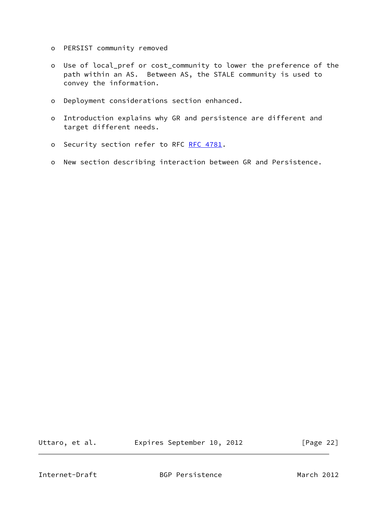- o PERSIST community removed
- o Use of local\_pref or cost\_community to lower the preference of the path within an AS. Between AS, the STALE community is used to convey the information.
- o Deployment considerations section enhanced.
- o Introduction explains why GR and persistence are different and target different needs.
- o Security section refer to RFC [RFC 4781](https://datatracker.ietf.org/doc/pdf/rfc4781).
- o New section describing interaction between GR and Persistence.

Uttaro, et al. **Expires September 10, 2012** [Page 22]

<span id="page-24-0"></span>Internet-Draft BGP Persistence March 2012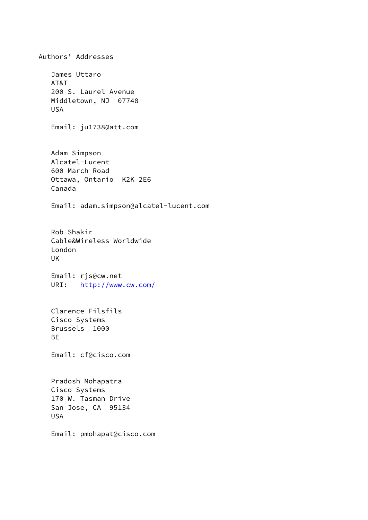Authors' Addresses James Uttaro AT&T 200 S. Laurel Avenue Middletown, NJ 07748 USA Email: ju1738@att.com Adam Simpson Alcatel-Lucent 600 March Road Ottawa, Ontario K2K 2E6 Canada Email: adam.simpson@alcatel-lucent.com Rob Shakir Cable&Wireless Worldwide London UK Email: rjs@cw.net URI: <http://www.cw.com/> Clarence Filsfils Cisco Systems Brussels 1000 BE Email: cf@cisco.com Pradosh Mohapatra Cisco Systems 170 W. Tasman Drive San Jose, CA 95134 USA Email: pmohapat@cisco.com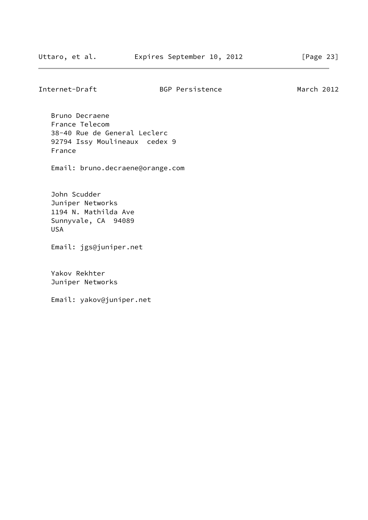Bruno Decraene France Telecom 38-40 Rue de General Leclerc 92794 Issy Moulineaux cedex 9 France

Email: bruno.decraene@orange.com

 John Scudder Juniper Networks 1194 N. Mathilda Ave Sunnyvale, CA 94089 USA

Email: jgs@juniper.net

 Yakov Rekhter Juniper Networks

Email: yakov@juniper.net